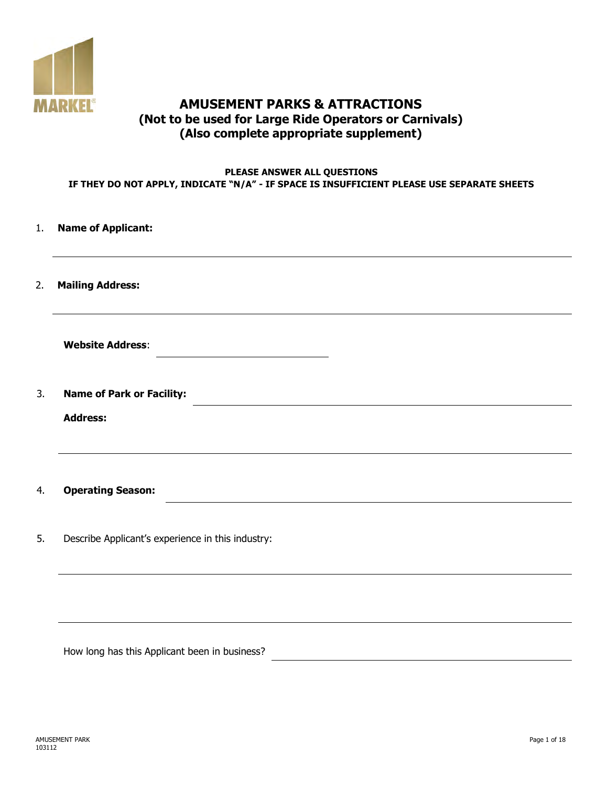

# **AMUSEMENT PARKS & ATTRACTIONS (Not to be used for Large Ride Operators or Carnivals) (Also complete appropriate supplement)**

#### **PLEASE ANSWER ALL QUESTIONS IF THEY DO NOT APPLY, INDICATE "N/A" - IF SPACE IS INSUFFICIENT PLEASE USE SEPARATE SHEETS**

| 1. | <b>Name of Applicant:</b>                         |
|----|---------------------------------------------------|
| 2. | <b>Mailing Address:</b>                           |
|    | <b>Website Address:</b>                           |
| 3. | <b>Name of Park or Facility:</b>                  |
|    | <b>Address:</b>                                   |
| 4. | <b>Operating Season:</b>                          |
| 5. | Describe Applicant's experience in this industry: |
|    |                                                   |

How long has this Applicant been in business?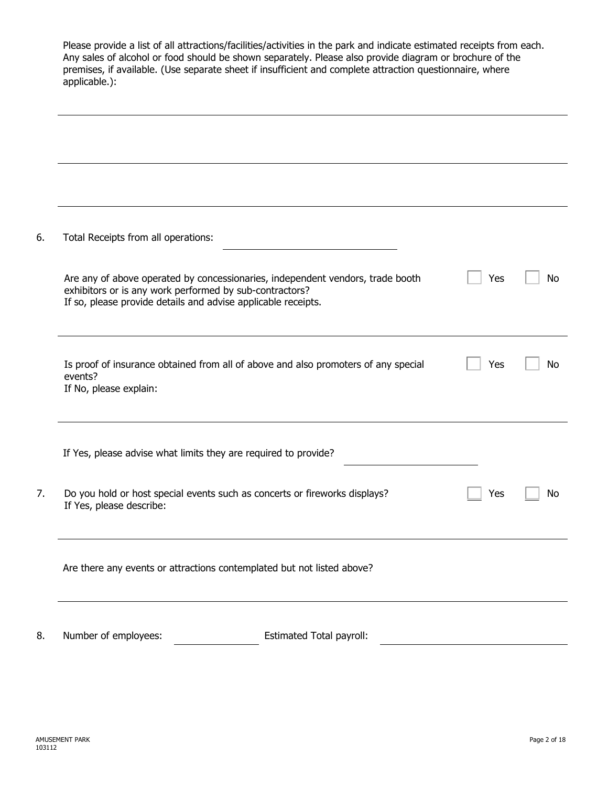|    | Please provide a list of all attractions/facilities/activities in the park and indicate estimated receipts from each.<br>Any sales of alcohol or food should be shown separately. Please also provide diagram or brochure of the<br>premises, if available. (Use separate sheet if insufficient and complete attraction questionnaire, where<br>applicable.): |     |    |  |  |
|----|---------------------------------------------------------------------------------------------------------------------------------------------------------------------------------------------------------------------------------------------------------------------------------------------------------------------------------------------------------------|-----|----|--|--|
|    |                                                                                                                                                                                                                                                                                                                                                               |     |    |  |  |
| 6. | Total Receipts from all operations:                                                                                                                                                                                                                                                                                                                           |     |    |  |  |
|    | Are any of above operated by concessionaries, independent vendors, trade booth<br>exhibitors or is any work performed by sub-contractors?<br>If so, please provide details and advise applicable receipts.                                                                                                                                                    | Yes | No |  |  |
|    | Is proof of insurance obtained from all of above and also promoters of any special<br>events?<br>If No, please explain:                                                                                                                                                                                                                                       | Yes | No |  |  |
|    | If Yes, please advise what limits they are required to provide?                                                                                                                                                                                                                                                                                               |     |    |  |  |
| 7. | Do you hold or host special events such as concerts or fireworks displays?<br>If Yes, please describe:                                                                                                                                                                                                                                                        | Yes | Νo |  |  |
|    | Are there any events or attractions contemplated but not listed above?                                                                                                                                                                                                                                                                                        |     |    |  |  |
| 8. | Number of employees:<br><b>Estimated Total payroll:</b>                                                                                                                                                                                                                                                                                                       |     |    |  |  |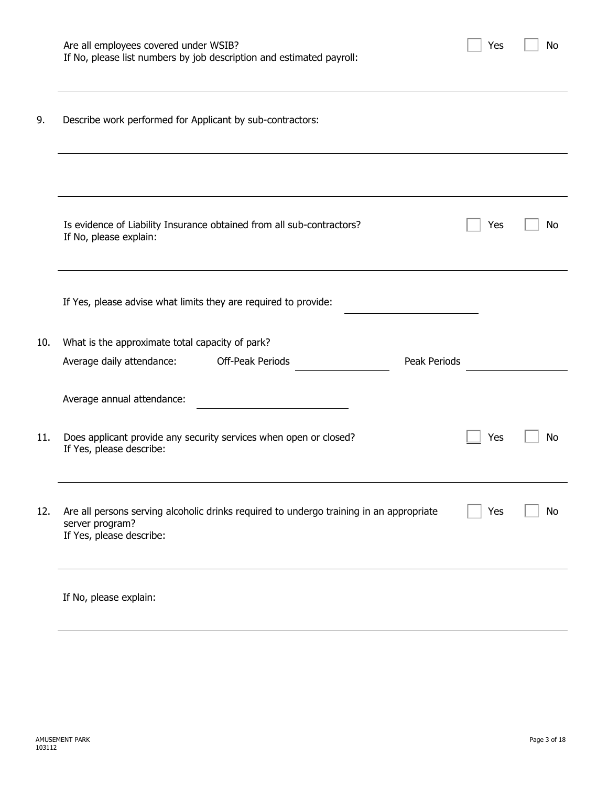|     | Are all employees covered under WSIB?<br>If No, please list numbers by job description and estimated payroll:                          | Yes | No |
|-----|----------------------------------------------------------------------------------------------------------------------------------------|-----|----|
| 9.  | Describe work performed for Applicant by sub-contractors:                                                                              |     |    |
|     |                                                                                                                                        |     |    |
|     | Is evidence of Liability Insurance obtained from all sub-contractors?<br>If No, please explain:                                        | Yes | No |
|     | If Yes, please advise what limits they are required to provide:                                                                        |     |    |
| 10. | What is the approximate total capacity of park?                                                                                        |     |    |
|     | Off-Peak Periods<br>Peak Periods<br>Average daily attendance:                                                                          |     |    |
|     | Average annual attendance:                                                                                                             |     |    |
| 11. | Does applicant provide any security services when open or closed?<br>If Yes, please describe:                                          | Yes | No |
| 12. | Are all persons serving alcoholic drinks required to undergo training in an appropriate<br>server program?<br>If Yes, please describe: | Yes | No |
|     | If No, please explain:                                                                                                                 |     |    |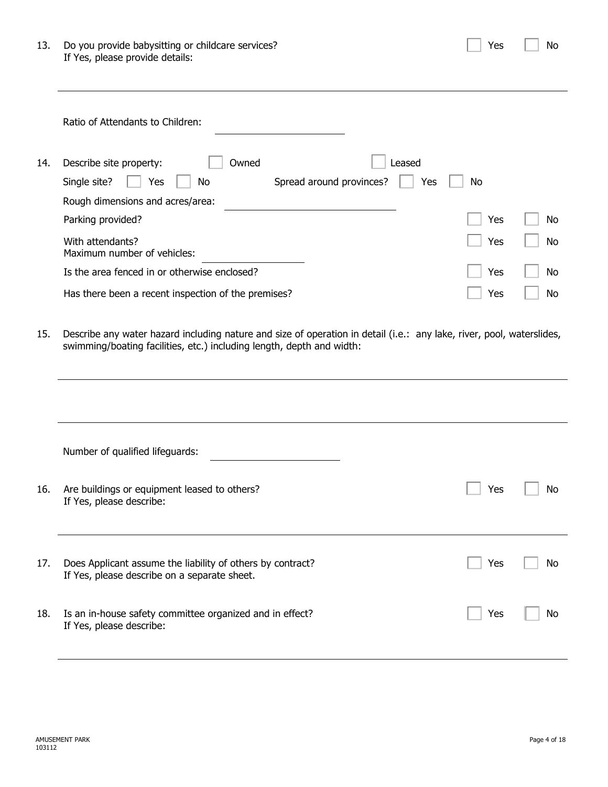| 13. | Do you provide babysitting or childcare services? |
|-----|---------------------------------------------------|
|     | If Yes, please provide details:                   |

|     | Ratio of Attendants to Children:                              |           |           |
|-----|---------------------------------------------------------------|-----------|-----------|
| 14. | Owned<br>Describe site property:<br>_eased                    |           |           |
|     | Spread around provinces?<br>Single site?<br>Yes<br>No.<br>Yes | <b>No</b> |           |
|     | Rough dimensions and acres/area:                              |           |           |
|     | Parking provided?                                             | Yes       | No.       |
|     | With attendants?<br>Maximum number of vehicles:               | Yes       | <b>No</b> |
|     | Is the area fenced in or otherwise enclosed?                  | Yes       | No.       |
|     | Has there been a recent inspection of the premises?           | Yes       | No.       |

15. Describe any water hazard including nature and size of operation in detail (i.e.: any lake, river, pool, waterslides, swimming/boating facilities, etc.) including length, depth and width:

| Number of qualified lifeguards:                                                                            |     |    |
|------------------------------------------------------------------------------------------------------------|-----|----|
| Are buildings or equipment leased to others?<br>If Yes, please describe:                                   | Yes | No |
| Does Applicant assume the liability of others by contract?<br>If Yes, please describe on a separate sheet. | Yes | No |
| Is an in-house safety committee organized and in effect?<br>If Yes, please describe:                       | Yes | No |
|                                                                                                            |     |    |

 $Yes \t No$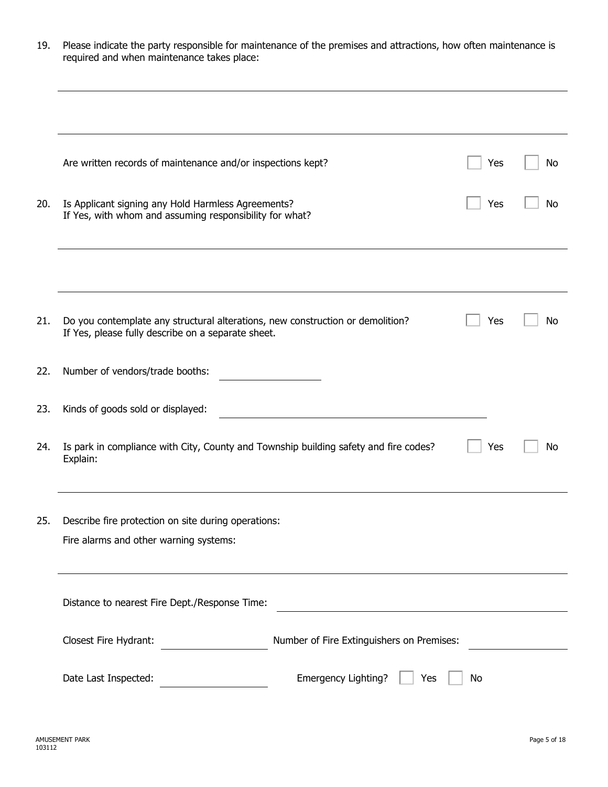| Please indicate the party responsible for maintenance of the premises and attractions, how often maintenance is |
|-----------------------------------------------------------------------------------------------------------------|
| required and when maintenance takes place:                                                                      |

|     | Are written records of maintenance and/or inspections kept?                                                                          | Yes | No |
|-----|--------------------------------------------------------------------------------------------------------------------------------------|-----|----|
| 20. | Is Applicant signing any Hold Harmless Agreements?<br>If Yes, with whom and assuming responsibility for what?                        | Yes | No |
|     |                                                                                                                                      |     |    |
| 21. | Do you contemplate any structural alterations, new construction or demolition?<br>If Yes, please fully describe on a separate sheet. | Yes | No |
| 22. | Number of vendors/trade booths:                                                                                                      |     |    |
| 23. | Kinds of goods sold or displayed:                                                                                                    |     |    |
| 24. | Is park in compliance with City, County and Township building safety and fire codes?<br>Explain:                                     | Yes | No |
| 25. | Describe fire protection on site during operations:<br>Fire alarms and other warning systems:                                        |     |    |
|     | Distance to nearest Fire Dept./Response Time:                                                                                        |     |    |
|     | Closest Fire Hydrant:<br>Number of Fire Extinguishers on Premises:                                                                   |     |    |
|     | Emergency Lighting?<br>Date Last Inspected:<br>Yes                                                                                   | No  |    |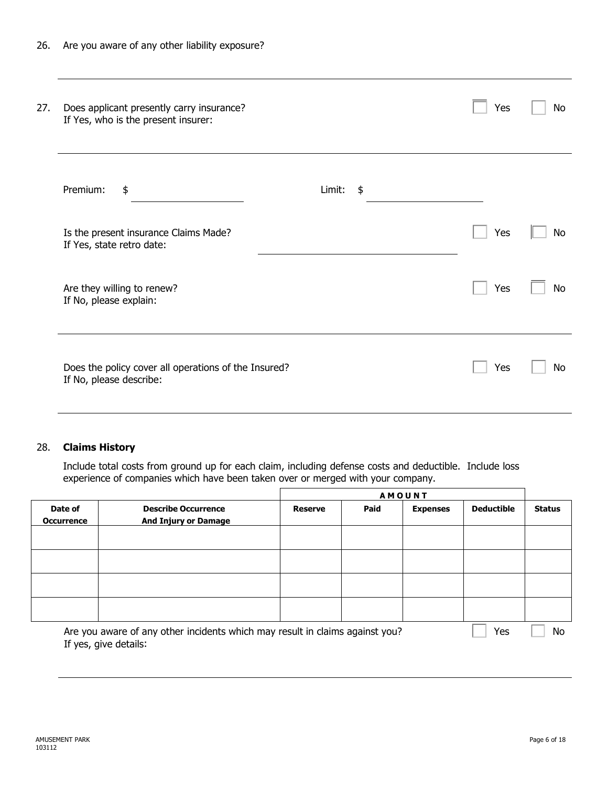| 27.                    | Does applicant presently carry insurance?<br>If Yes, who is the present insurer: |                         | Yes | No |
|------------------------|----------------------------------------------------------------------------------|-------------------------|-----|----|
| Premium:               | \$                                                                               | Limit:<br>$\frac{1}{2}$ |     |    |
|                        | Is the present insurance Claims Made?<br>If Yes, state retro date:               |                         | Yes | No |
| If No, please explain: | Are they willing to renew?                                                       |                         | Yes | No |
|                        | Does the policy cover all operations of the Insured?<br>If No, please describe:  |                         | Yes | No |

### 28. **Claims History**

Include total costs from ground up for each claim, including defense costs and deductible. Include loss experience of companies which have been taken over or merged with your company.

|                              |                                                                                                       | <b>AMOUNT</b>  |      |                 |                   |               |
|------------------------------|-------------------------------------------------------------------------------------------------------|----------------|------|-----------------|-------------------|---------------|
| Date of<br><b>Occurrence</b> | <b>Describe Occurrence</b><br><b>And Injury or Damage</b>                                             | <b>Reserve</b> | Paid | <b>Expenses</b> | <b>Deductible</b> | <b>Status</b> |
|                              |                                                                                                       |                |      |                 |                   |               |
|                              |                                                                                                       |                |      |                 |                   |               |
|                              |                                                                                                       |                |      |                 |                   |               |
|                              |                                                                                                       |                |      |                 |                   |               |
|                              | Are you aware of any other incidents which may result in claims against you?<br>If yes, give details: |                |      |                 | Yes               | No            |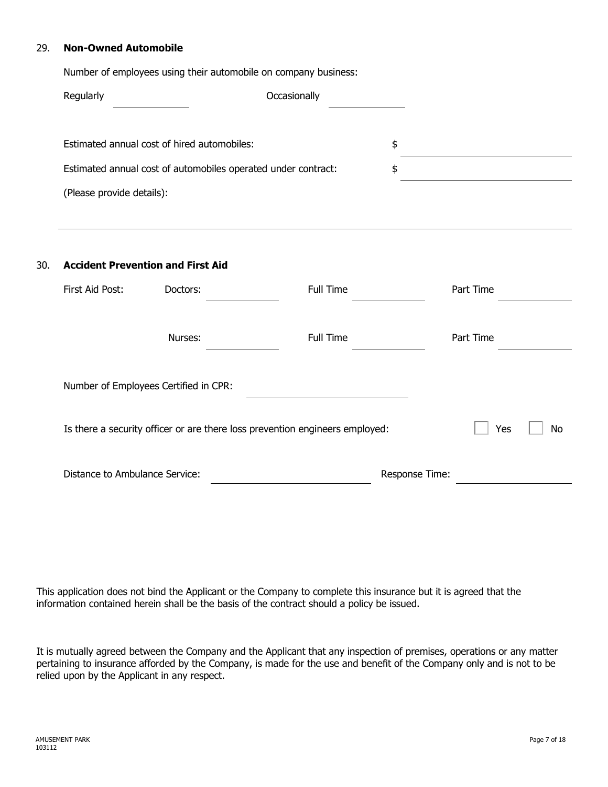#### 29. **Non-Owned Automobile**

|                                | Number of employees using their automobile on company business: |                                                                                  |                |                  |
|--------------------------------|-----------------------------------------------------------------|----------------------------------------------------------------------------------|----------------|------------------|
| Occasionally<br>Regularly      |                                                                 |                                                                                  |                |                  |
|                                | Estimated annual cost of hired automobiles:                     |                                                                                  | \$             |                  |
|                                | Estimated annual cost of automobiles operated under contract:   |                                                                                  | \$             |                  |
| (Please provide details):      |                                                                 |                                                                                  |                |                  |
|                                |                                                                 | ,我们也不会有什么。""我们的人,我们也不会有什么?""我们的人,我们也不会有什么?""我们的人,我们也不会有什么?""我们的人,我们也不会有什么?""我们的人 |                |                  |
|                                | <b>Accident Prevention and First Aid</b>                        |                                                                                  |                |                  |
| First Aid Post:                | Doctors:                                                        | Full Time                                                                        |                | Part Time        |
|                                | Nurses:                                                         | Full Time                                                                        |                | Part Time        |
|                                | Number of Employees Certified in CPR:                           |                                                                                  |                |                  |
|                                |                                                                 | Is there a security officer or are there loss prevention engineers employed:     |                | Yes<br><b>No</b> |
| Distance to Ambulance Service: |                                                                 |                                                                                  | Response Time: |                  |

This application does not bind the Applicant or the Company to complete this insurance but it is agreed that the information contained herein shall be the basis of the contract should a policy be issued.

It is mutually agreed between the Company and the Applicant that any inspection of premises, operations or any matter pertaining to insurance afforded by the Company, is made for the use and benefit of the Company only and is not to be relied upon by the Applicant in any respect.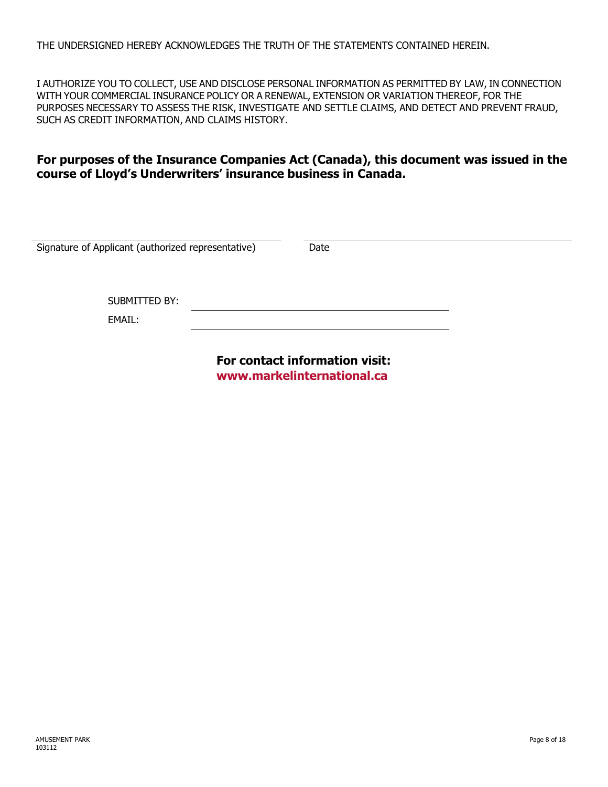THE UNDERSIGNED HEREBY ACKNOWLEDGES THE TRUTH OF THE STATEMENTS CONTAINED HEREIN.

I AUTHORIZE YOU TO COLLECT, USE AND DISCLOSE PERSONAL INFORMATION AS PERMITTED BY LAW, IN CONNECTION WITH YOUR COMMERCIAL INSURANCE POLICY OR A RENEWAL, EXTENSION OR VARIATION THEREOF, FOR THE PURPOSES NECESSARY TO ASSESS THE RISK, INVESTIGATE AND SETTLE CLAIMS, AND DETECT AND PREVENT FRAUD, SUCH AS CREDIT INFORMATION, AND CLAIMS HISTORY.

# **For purposes of the Insurance Companies Act (Canada), this document was issued in the course of Lloyd's Underwriters' insurance business in Canada.**

| Signature of Applicant (authorized representative) | Date |  |
|----------------------------------------------------|------|--|
| SUBMITTED BY:<br>EMAIL:                            |      |  |
|                                                    |      |  |

**For contact information visit: <www.markelinternational.ca>**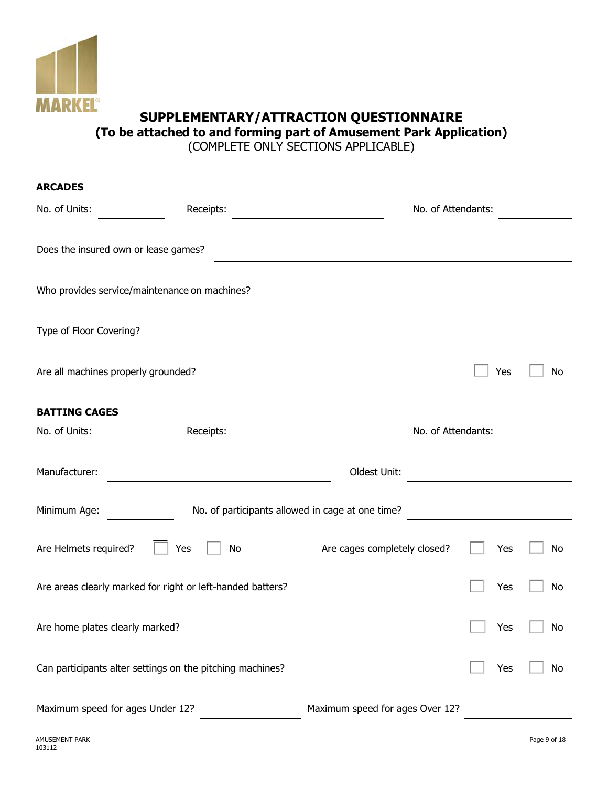

# **SUPPLEMENTARY/ATTRACTION QUESTIONNAIRE (To be attached to and forming part of Amusement Park Application)**

(COMPLETE ONLY SECTIONS APPLICABLE)

| <b>ARCADES</b>                                             |                                                  |     |     |
|------------------------------------------------------------|--------------------------------------------------|-----|-----|
| No. of Units:<br>Receipts:                                 | No. of Attendants:                               |     |     |
| Does the insured own or lease games?                       |                                                  |     |     |
| Who provides service/maintenance on machines?              |                                                  |     |     |
| Type of Floor Covering?                                    |                                                  |     |     |
| Are all machines properly grounded?                        |                                                  | Yes | No  |
| <b>BATTING CAGES</b>                                       |                                                  |     |     |
| No. of Units:<br>Receipts:                                 | No. of Attendants:                               |     |     |
| Manufacturer:                                              | Oldest Unit:                                     |     |     |
| Minimum Age:                                               | No. of participants allowed in cage at one time? |     |     |
| Are Helmets required?<br>Yes<br>No                         | Are cages completely closed?                     | Yes | No  |
| Are areas clearly marked for right or left-handed batters? |                                                  | Yes | No  |
| Are home plates clearly marked?                            |                                                  | Yes | No. |
| Can participants alter settings on the pitching machines?  |                                                  | Yes | No  |
| Maximum speed for ages Under 12?                           | Maximum speed for ages Over 12?                  |     |     |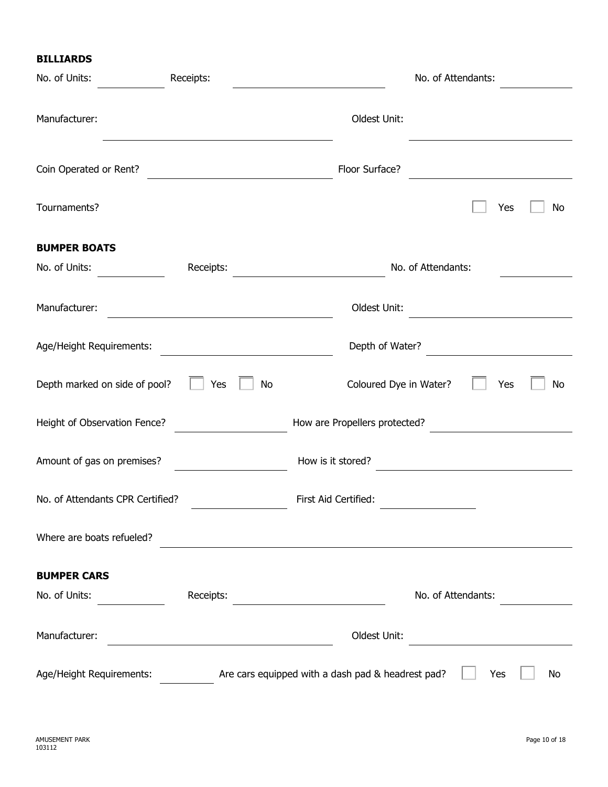|  | <b>BILLIARDS</b> |  |  |
|--|------------------|--|--|
|--|------------------|--|--|

| No. of Units:                    | Receipts: |                                                   | No. of Attendants: |
|----------------------------------|-----------|---------------------------------------------------|--------------------|
| Manufacturer:                    |           | Oldest Unit:                                      |                    |
| Coin Operated or Rent?           |           | Floor Surface?                                    |                    |
| Tournaments?                     |           |                                                   | Yes<br>No          |
| <b>BUMPER BOATS</b>              |           |                                                   |                    |
| No. of Units:                    | Receipts: |                                                   | No. of Attendants: |
| Manufacturer:                    |           | Oldest Unit:                                      |                    |
| Age/Height Requirements:         |           | Depth of Water?                                   |                    |
| Depth marked on side of pool?    | Yes<br>No | Coloured Dye in Water?                            | Yes<br>No          |
| Height of Observation Fence?     |           | How are Propellers protected?                     |                    |
| Amount of gas on premises?       |           | How is it stored?                                 |                    |
| No. of Attendants CPR Certified? |           | First Aid Certified:                              |                    |
| Where are boats refueled?        |           |                                                   |                    |
| <b>BUMPER CARS</b>               |           |                                                   |                    |
| No. of Units:                    | Receipts: |                                                   | No. of Attendants: |
| Manufacturer:                    |           | Oldest Unit:                                      |                    |
| Age/Height Requirements:         |           | Are cars equipped with a dash pad & headrest pad? | No<br>Yes          |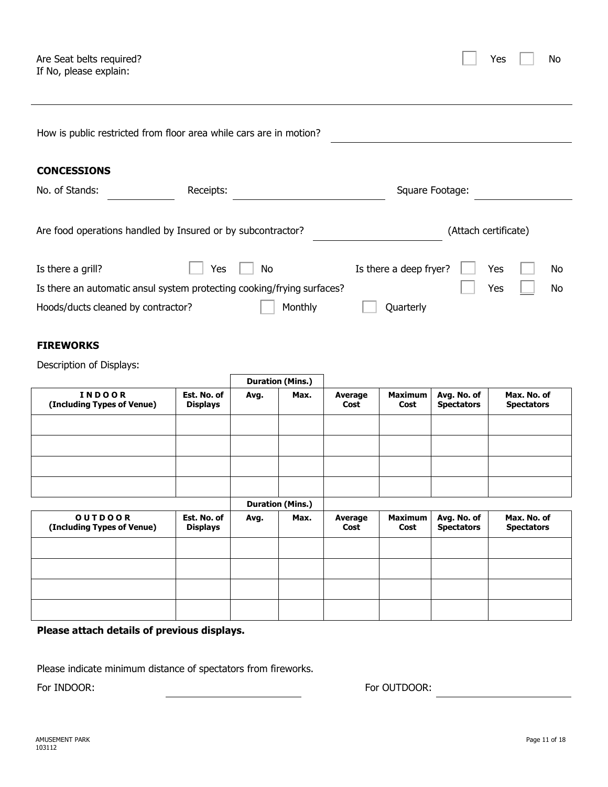| Yes. |  | No |
|------|--|----|
|------|--|----|

| How is public restricted from floor area while cars are in motion?     |                                |           |                         |                 |                        |                                  |                                  |
|------------------------------------------------------------------------|--------------------------------|-----------|-------------------------|-----------------|------------------------|----------------------------------|----------------------------------|
| <b>CONCESSIONS</b>                                                     |                                |           |                         |                 |                        |                                  |                                  |
| No. of Stands:                                                         | Receipts:                      |           |                         |                 |                        | Square Footage:                  |                                  |
| Are food operations handled by Insured or by subcontractor?            |                                |           |                         |                 |                        | (Attach certificate)             |                                  |
| Is there a grill?                                                      | Yes                            | <b>No</b> |                         |                 | Is there a deep fryer? |                                  | Yes<br>No                        |
| Is there an automatic ansul system protecting cooking/frying surfaces? |                                |           |                         |                 |                        |                                  | Yes<br>No                        |
| Hoods/ducts cleaned by contractor?                                     |                                |           | Monthly                 |                 | Quarterly              |                                  |                                  |
| <b>FIREWORKS</b><br>Description of Displays:                           |                                |           |                         |                 |                        |                                  |                                  |
|                                                                        |                                |           | <b>Duration (Mins.)</b> |                 |                        |                                  |                                  |
| <b>INDOOR</b><br>(Including Types of Venue)                            | Est. No. of<br><b>Displays</b> | Avg.      | Max.                    | Average<br>Cost | <b>Maximum</b><br>Cost | Avg. No. of<br><b>Spectators</b> | Max. No. of<br><b>Spectators</b> |
|                                                                        |                                |           |                         |                 |                        |                                  |                                  |
|                                                                        |                                |           |                         |                 |                        |                                  |                                  |
|                                                                        |                                |           |                         |                 |                        |                                  |                                  |
|                                                                        |                                |           |                         |                 |                        |                                  |                                  |
|                                                                        |                                |           | <b>Duration (Mins.)</b> |                 |                        |                                  |                                  |
| <b>OUTDOOR</b><br>(Including Types of Venue)                           | Est. No. of<br><b>Displays</b> | Avg.      | Max.                    | Average<br>Cost | <b>Maximum</b><br>Cost | Avg. No. of<br><b>Spectators</b> | Max. No. of<br><b>Spectators</b> |
|                                                                        |                                |           |                         |                 |                        |                                  |                                  |
|                                                                        |                                |           |                         |                 |                        |                                  |                                  |
|                                                                        |                                |           |                         |                 |                        |                                  |                                  |
|                                                                        |                                |           |                         |                 |                        |                                  |                                  |

**Please attach details of previous displays.**

Please indicate minimum distance of spectators from fireworks.

For INDOOR: For OUTDOOR: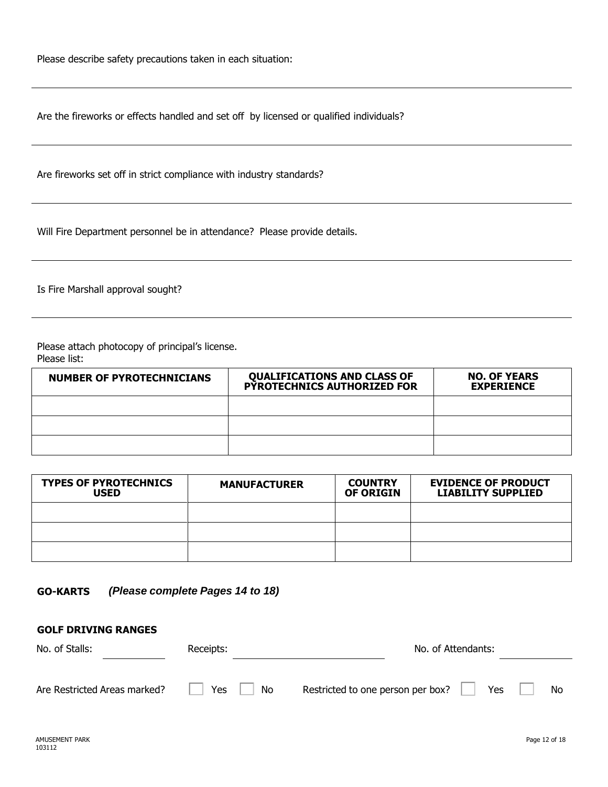Please describe safety precautions taken in each situation:

Are the fireworks or effects handled and set off by licensed or qualified individuals?

Are fireworks set off in strict compliance with industry standards?

Will Fire Department personnel be in attendance? Please provide details.

Is Fire Marshall approval sought?

Please attach photocopy of principal's license. Please list:

| <b>NUMBER OF PYROTECHNICIANS</b> | <b>QUALIFICATIONS AND CLASS OF</b><br><b>PYROTECHNICS AUTHORIZED FOR</b> | <b>NO. OF YEARS</b><br><b>EXPERIENCE</b> |
|----------------------------------|--------------------------------------------------------------------------|------------------------------------------|
|                                  |                                                                          |                                          |
|                                  |                                                                          |                                          |
|                                  |                                                                          |                                          |

| <b>TYPES OF PYROTECHNICS</b><br><b>USED</b> | <b>MANUFACTURER</b> | <b>COUNTRY</b><br><b>OF ORIGIN</b> | <b>EVIDENCE OF PRODUCT</b><br><b>LIABILITY SUPPLIED</b> |
|---------------------------------------------|---------------------|------------------------------------|---------------------------------------------------------|
|                                             |                     |                                    |                                                         |
|                                             |                     |                                    |                                                         |
|                                             |                     |                                    |                                                         |

| <b>GO-KARTS</b> | (Please complete Pages 14 to 18) |  |
|-----------------|----------------------------------|--|
|-----------------|----------------------------------|--|

| No. of Stalls:               | Receipts: | No. of Attendants:                                           |
|------------------------------|-----------|--------------------------------------------------------------|
| Are Restricted Areas marked? | Yes<br>No | Restricted to one person per box?<br><b>Yes</b><br><b>No</b> |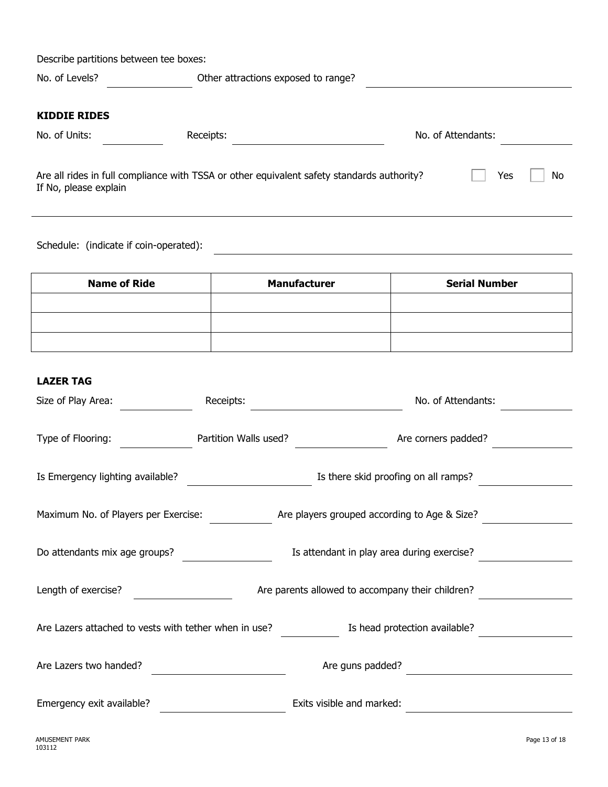| Describe partitions between tee boxes: |                                                                                            |                    |    |
|----------------------------------------|--------------------------------------------------------------------------------------------|--------------------|----|
| No. of Levels?                         | Other attractions exposed to range?                                                        |                    |    |
| <b>KIDDIE RIDES</b>                    |                                                                                            |                    |    |
| No. of Units:                          | Receipts:                                                                                  | No. of Attendants: |    |
| If No, please explain                  | Are all rides in full compliance with TSSA or other equivalent safety standards authority? | Yes                | No |

Schedule: (indicate if coin-operated):

| <b>Name of Ride</b> | <b>Manufacturer</b> | <b>Serial Number</b> |
|---------------------|---------------------|----------------------|
|                     |                     |                      |
|                     |                     |                      |
|                     |                     |                      |

<u> 1980 - Johann Barn, mars ann an t-</u>

#### **LAZER TAG**

| Size of Play Area:                                    | Receipts:             | No. of Attendants:                               |
|-------------------------------------------------------|-----------------------|--------------------------------------------------|
| Type of Flooring:                                     | Partition Walls used? | Are corners padded?                              |
| Is Emergency lighting available?                      |                       | Is there skid proofing on all ramps?             |
| Maximum No. of Players per Exercise:                  |                       | Are players grouped according to Age & Size?     |
| Do attendants mix age groups?                         |                       | Is attendant in play area during exercise?       |
| Length of exercise?                                   |                       | Are parents allowed to accompany their children? |
| Are Lazers attached to vests with tether when in use? |                       | Is head protection available?                    |
| Are Lazers two handed?                                |                       | Are guns padded?                                 |
| Emergency exit available?                             |                       | Exits visible and marked:                        |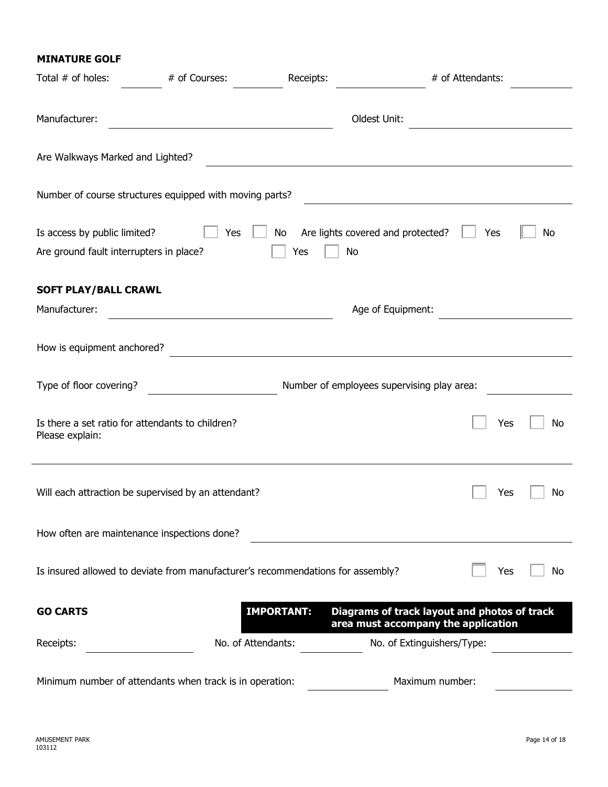#### **MINATURE GOLF**

| Total # of holes:                                                       | # of Courses:                                                                   | Receipts:         | # of Attendants:                                                                    |           |
|-------------------------------------------------------------------------|---------------------------------------------------------------------------------|-------------------|-------------------------------------------------------------------------------------|-----------|
| Manufacturer:                                                           |                                                                                 |                   | Oldest Unit:                                                                        |           |
| Are Walkways Marked and Lighted?                                        |                                                                                 |                   |                                                                                     |           |
|                                                                         | Number of course structures equipped with moving parts?                         |                   |                                                                                     |           |
| Is access by public limited?<br>Are ground fault interrupters in place? | Yes                                                                             | No<br>No<br>Yes   | Are lights covered and protected?                                                   | Yes<br>No |
| <b>SOFT PLAY/BALL CRAWL</b>                                             |                                                                                 |                   |                                                                                     |           |
| Manufacturer:                                                           |                                                                                 |                   | Age of Equipment:                                                                   |           |
| How is equipment anchored?                                              |                                                                                 |                   |                                                                                     |           |
| Type of floor covering?                                                 |                                                                                 |                   | Number of employees supervising play area:                                          |           |
| Is there a set ratio for attendants to children?<br>Please explain:     |                                                                                 |                   |                                                                                     | No<br>Yes |
|                                                                         | Will each attraction be supervised by an attendant?                             |                   |                                                                                     | Yes<br>No |
| How often are maintenance inspections done?                             |                                                                                 |                   |                                                                                     |           |
|                                                                         | Is insured allowed to deviate from manufacturer's recommendations for assembly? |                   |                                                                                     | Yes<br>No |
| <b>GO CARTS</b>                                                         |                                                                                 | <b>IMPORTANT:</b> | Diagrams of track layout and photos of track<br>area must accompany the application |           |
| Receipts:                                                               | No. of Attendants:                                                              |                   | No. of Extinguishers/Type:                                                          |           |
|                                                                         | Minimum number of attendants when track is in operation:                        |                   | Maximum number:                                                                     |           |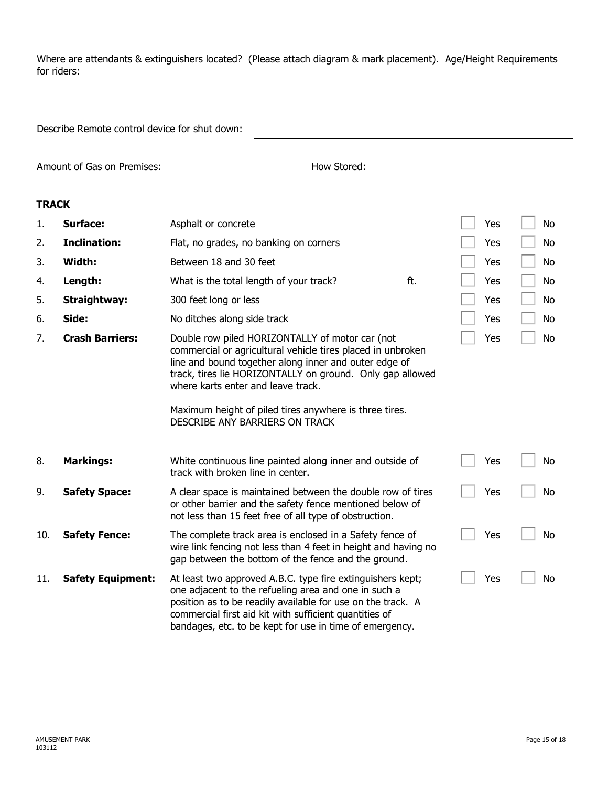Where are attendants & extinguishers located? (Please attach diagram & mark placement). Age/Height Requirements for riders:

Describe Remote control device for shut down:

Amount of Gas on Premises: <u>entity and the Stored</u>: How Stored: <u>entity and the Stored:</u> entity and the Stored: entity and the Stored: entity and the Stored: entity and the Stored: entity and the Stored: entity and the Sto

### **TRACK**

| 1.  | <b>Surface:</b>          | Asphalt or concrete                                                                                                                                                                                                                                                                                                                                                    | Yes | No |
|-----|--------------------------|------------------------------------------------------------------------------------------------------------------------------------------------------------------------------------------------------------------------------------------------------------------------------------------------------------------------------------------------------------------------|-----|----|
| 2.  | <b>Inclination:</b>      | Flat, no grades, no banking on corners                                                                                                                                                                                                                                                                                                                                 | Yes | No |
| 3.  | Width:                   | Between 18 and 30 feet                                                                                                                                                                                                                                                                                                                                                 | Yes | No |
| 4.  | Length:                  | ft.<br>What is the total length of your track?                                                                                                                                                                                                                                                                                                                         | Yes | No |
| 5.  | <b>Straightway:</b>      | 300 feet long or less                                                                                                                                                                                                                                                                                                                                                  | Yes | No |
| 6.  | Side:                    | No ditches along side track                                                                                                                                                                                                                                                                                                                                            | Yes | No |
| 7.  | <b>Crash Barriers:</b>   | Double row piled HORIZONTALLY of motor car (not<br>commercial or agricultural vehicle tires placed in unbroken<br>line and bound together along inner and outer edge of<br>track, tires lie HORIZONTALLY on ground. Only gap allowed<br>where karts enter and leave track.<br>Maximum height of piled tires anywhere is three tires.<br>DESCRIBE ANY BARRIERS ON TRACK | Yes | No |
| 8.  | <b>Markings:</b>         | White continuous line painted along inner and outside of<br>track with broken line in center.                                                                                                                                                                                                                                                                          | Yes | No |
| 9.  | <b>Safety Space:</b>     | A clear space is maintained between the double row of tires<br>or other barrier and the safety fence mentioned below of<br>not less than 15 feet free of all type of obstruction.                                                                                                                                                                                      | Yes | No |
| 10. | <b>Safety Fence:</b>     | The complete track area is enclosed in a Safety fence of<br>wire link fencing not less than 4 feet in height and having no<br>gap between the bottom of the fence and the ground.                                                                                                                                                                                      | Yes | No |
| 11. | <b>Safety Equipment:</b> | At least two approved A.B.C. type fire extinguishers kept;<br>one adjacent to the refueling area and one in such a<br>position as to be readily available for use on the track. A<br>commercial first aid kit with sufficient quantities of<br>bandages, etc. to be kept for use in time of emergency.                                                                 | Yes | No |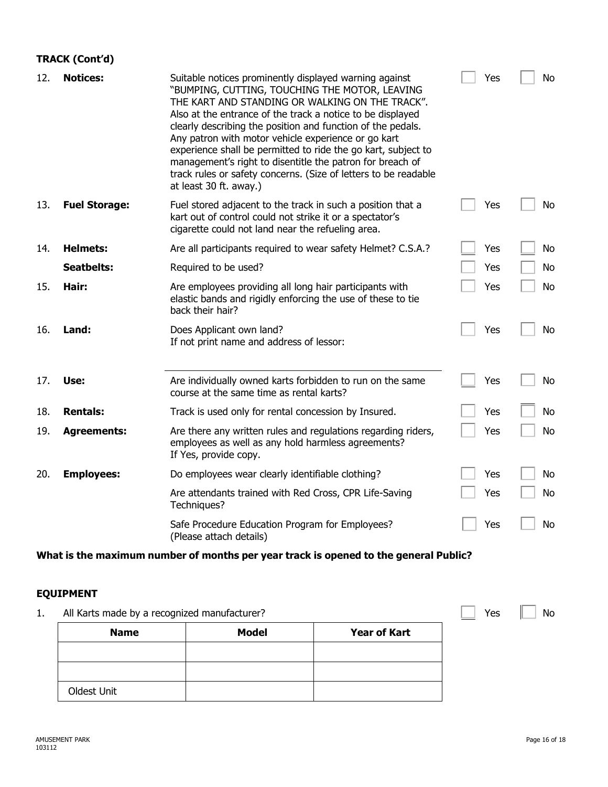## **TRACK (Cont'd)**

| 12. | <b>Notices:</b>      | Suitable notices prominently displayed warning against<br>"BUMPING, CUTTING, TOUCHING THE MOTOR, LEAVING<br>THE KART AND STANDING OR WALKING ON THE TRACK".<br>Also at the entrance of the track a notice to be displayed<br>clearly describing the position and function of the pedals.<br>Any patron with motor vehicle experience or go kart<br>experience shall be permitted to ride the go kart, subject to<br>management's right to disentitle the patron for breach of<br>track rules or safety concerns. (Size of letters to be readable<br>at least 30 ft. away.) | Yes | No        |
|-----|----------------------|----------------------------------------------------------------------------------------------------------------------------------------------------------------------------------------------------------------------------------------------------------------------------------------------------------------------------------------------------------------------------------------------------------------------------------------------------------------------------------------------------------------------------------------------------------------------------|-----|-----------|
| 13. | <b>Fuel Storage:</b> | Fuel stored adjacent to the track in such a position that a<br>kart out of control could not strike it or a spectator's<br>cigarette could not land near the refueling area.                                                                                                                                                                                                                                                                                                                                                                                               | Yes | No        |
| 14. | <b>Helmets:</b>      | Are all participants required to wear safety Helmet? C.S.A.?                                                                                                                                                                                                                                                                                                                                                                                                                                                                                                               | Yes | <b>No</b> |
|     | <b>Seatbelts:</b>    | Required to be used?                                                                                                                                                                                                                                                                                                                                                                                                                                                                                                                                                       | Yes | <b>No</b> |
| 15. | Hair:                | Are employees providing all long hair participants with<br>elastic bands and rigidly enforcing the use of these to tie<br>back their hair?                                                                                                                                                                                                                                                                                                                                                                                                                                 | Yes | <b>No</b> |
| 16. | Land:                | Does Applicant own land?<br>If not print name and address of lessor:                                                                                                                                                                                                                                                                                                                                                                                                                                                                                                       | Yes | No        |
| 17. | Use:                 | Are individually owned karts forbidden to run on the same<br>course at the same time as rental karts?                                                                                                                                                                                                                                                                                                                                                                                                                                                                      | Yes | No        |
| 18. | <b>Rentals:</b>      | Track is used only for rental concession by Insured.                                                                                                                                                                                                                                                                                                                                                                                                                                                                                                                       | Yes | No        |
| 19. | <b>Agreements:</b>   | Are there any written rules and regulations regarding riders,<br>employees as well as any hold harmless agreements?<br>If Yes, provide copy.                                                                                                                                                                                                                                                                                                                                                                                                                               | Yes | No        |
| 20. | <b>Employees:</b>    | Do employees wear clearly identifiable clothing?                                                                                                                                                                                                                                                                                                                                                                                                                                                                                                                           | Yes | No        |
|     |                      | Are attendants trained with Red Cross, CPR Life-Saving<br>Techniques?                                                                                                                                                                                                                                                                                                                                                                                                                                                                                                      | Yes | No        |
|     |                      | Safe Procedure Education Program for Employees?<br>(Please attach details)                                                                                                                                                                                                                                                                                                                                                                                                                                                                                                 | Yes | No        |

# **What is the maximum number of months per year track is opened to the general Public?**

## **EQUIPMENT**

1. All Karts made by a recognized manufacturer? The Contract of the Contract of the Ves No No

| <b>Name</b> | <b>Model</b> | <b>Year of Kart</b> |
|-------------|--------------|---------------------|
|             |              |                     |
|             |              |                     |
| Oldest Unit |              |                     |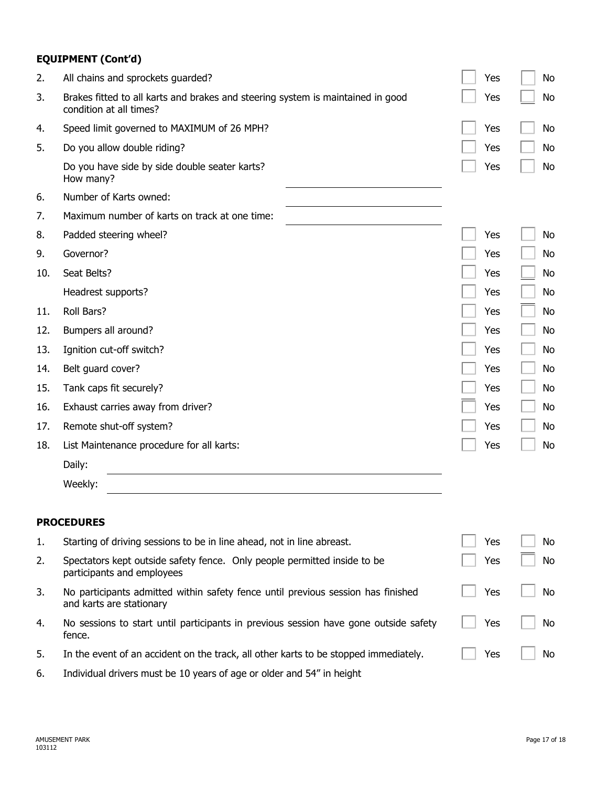## **EQUIPMENT (Cont'd)**

| 2.  | All chains and sprockets guarded?                                                                            | Yes | No        |
|-----|--------------------------------------------------------------------------------------------------------------|-----|-----------|
| 3.  | Brakes fitted to all karts and brakes and steering system is maintained in good<br>condition at all times?   | Yes | No        |
| 4.  | Speed limit governed to MAXIMUM of 26 MPH?                                                                   | Yes | No        |
| 5.  | Do you allow double riding?                                                                                  | Yes | No        |
|     | Do you have side by side double seater karts?<br>How many?                                                   | Yes | No        |
| 6.  | Number of Karts owned:                                                                                       |     |           |
| 7.  | Maximum number of karts on track at one time:                                                                |     |           |
| 8.  | Padded steering wheel?                                                                                       | Yes | No        |
| 9.  | Governor?                                                                                                    | Yes | No        |
| 10. | Seat Belts?                                                                                                  | Yes | No        |
|     | Headrest supports?                                                                                           | Yes | No        |
| 11. | Roll Bars?                                                                                                   | Yes | No        |
| 12. | Bumpers all around?                                                                                          | Yes | No        |
| 13. | Ignition cut-off switch?                                                                                     | Yes | No        |
| 14. | Belt guard cover?                                                                                            | Yes | No        |
| 15. | Tank caps fit securely?                                                                                      | Yes | <b>No</b> |
| 16. | Exhaust carries away from driver?                                                                            | Yes | No        |
| 17. | Remote shut-off system?                                                                                      | Yes | No        |
| 18. | List Maintenance procedure for all karts:                                                                    | Yes | No        |
|     | Daily:                                                                                                       |     |           |
|     | Weekly:                                                                                                      |     |           |
|     | <b>PROCEDURES</b>                                                                                            |     |           |
| 1.  | Starting of driving sessions to be in line ahead, not in line abreast.                                       | Yes | No        |
| 2.  | Spectators kept outside safety fence. Only people permitted inside to be<br>participants and employees       | Yes | No        |
| 3.  | No participants admitted within safety fence until previous session has finished<br>and karts are stationary | Yes | No        |
| 4.  | No sessions to start until participants in previous session have gone outside safety<br>fence.               | Yes | No        |
| 5.  | In the event of an accident on the track, all other karts to be stopped immediately.                         | Yes | No        |

6. Individual drivers must be 10 years of age or older and 54" in height